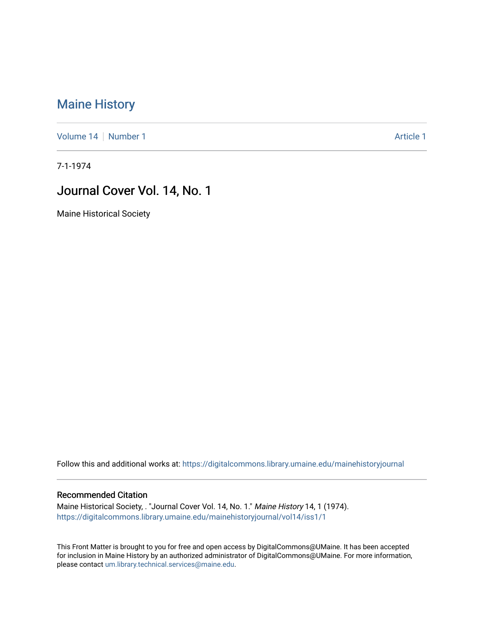# [Maine History](https://digitalcommons.library.umaine.edu/mainehistoryjournal)

[Volume 14](https://digitalcommons.library.umaine.edu/mainehistoryjournal/vol14) [Number 1](https://digitalcommons.library.umaine.edu/mainehistoryjournal/vol14/iss1) Article 1

7-1-1974

### Journal Cover Vol. 14, No. 1

Maine Historical Society

Follow this and additional works at: [https://digitalcommons.library.umaine.edu/mainehistoryjournal](https://digitalcommons.library.umaine.edu/mainehistoryjournal?utm_source=digitalcommons.library.umaine.edu%2Fmainehistoryjournal%2Fvol14%2Fiss1%2F1&utm_medium=PDF&utm_campaign=PDFCoverPages) 

#### Recommended Citation

Maine Historical Society, . "Journal Cover Vol. 14, No. 1." Maine History 14, 1 (1974). [https://digitalcommons.library.umaine.edu/mainehistoryjournal/vol14/iss1/1](https://digitalcommons.library.umaine.edu/mainehistoryjournal/vol14/iss1/1?utm_source=digitalcommons.library.umaine.edu%2Fmainehistoryjournal%2Fvol14%2Fiss1%2F1&utm_medium=PDF&utm_campaign=PDFCoverPages)

This Front Matter is brought to you for free and open access by DigitalCommons@UMaine. It has been accepted for inclusion in Maine History by an authorized administrator of DigitalCommons@UMaine. For more information, please contact [um.library.technical.services@maine.edu.](mailto:um.library.technical.services@maine.edu)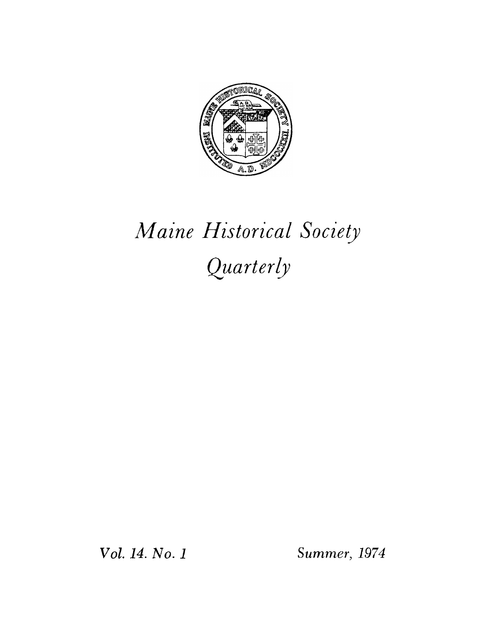

# *Maine Historical Society Quarterly*

*Vol. 14. No. <sup>1</sup> Summer, 1974*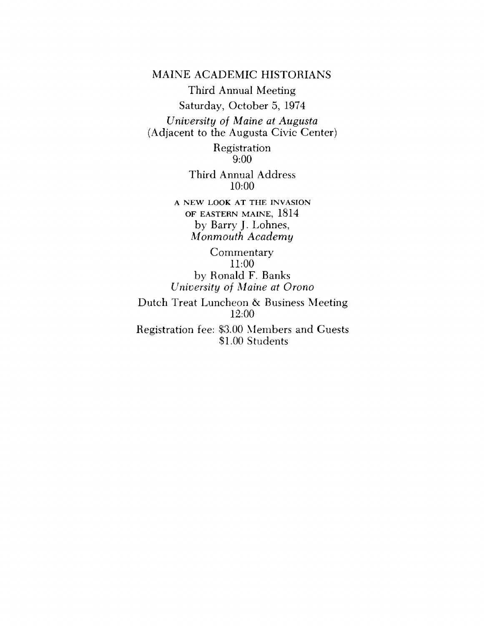MAINE ACADEMIC HISTORIANS

Third Annual Meeting Saturday, October 5, 1974 *University of Maine at Augusta* (Adjacent to the Augusta Civic Center)

> Registration 9:00

Third Annual Address 10:00

**A NEW LOOK AT THE INVASION OF EASTERN MAINE,** 1814 by Barry J. Lohnes, *Monmouth Academy*

**Commentary** 11:00 by Ronald F. Banks *University of Maine at Orono* Dutch Treat Luncheon & Business Meeting 12:00 Registration fee: \$3.00 Members and Guests \$1.00 Students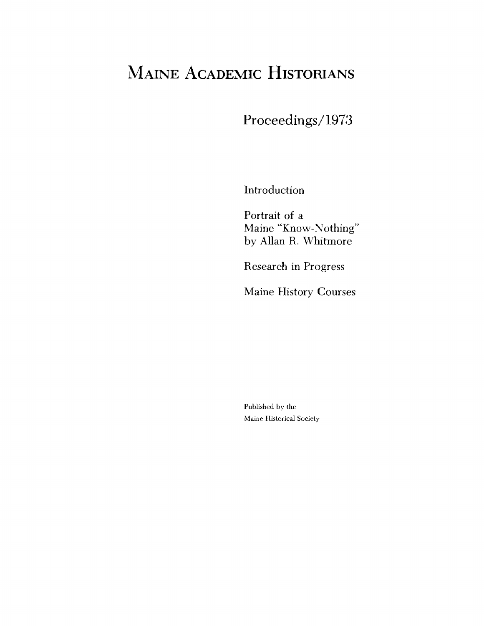# Maine Academic Historians

Proceedings/1973

Introduction

Portrait of a Maine "Know-Nothing" by Allan R. Whitmore

Research in Progress

Maine History Courses

Published by the Maine Historical Society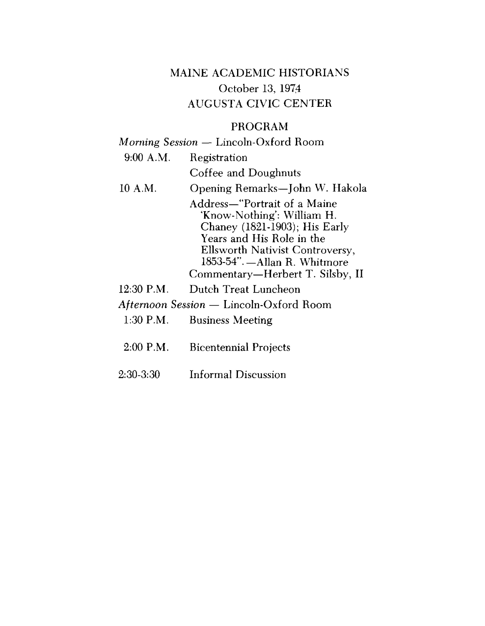# MAINE ACADEMIC HISTORIANS October 13, 1974 AUGUSTA CIVIC CENTER

### PROGRAM

# *Morning Session —* Lincoln-Oxford Room 9:00 A.M. Registration Coffee and Doughnuts 10 A.M. Opening Remarks—John W. Hakola Address—"Portrait of a Maine 'Know-Nothing': William H. Chaney (1821-1903); His Early Years and His Role in the Ellsworth Nativist Controversy, 1853-54".—Allan R. Whitmore Commentary—Herbert T. Silsby, II 12:30 P.M. Dutch Treat Luncheon *Afternoon Session —* Lincoln-Oxford Room

- 1:30 P.M. Business Meeting
- 2:00 P.M. Bicentennial Projects
- 2:30-3:30 Informal Discussion